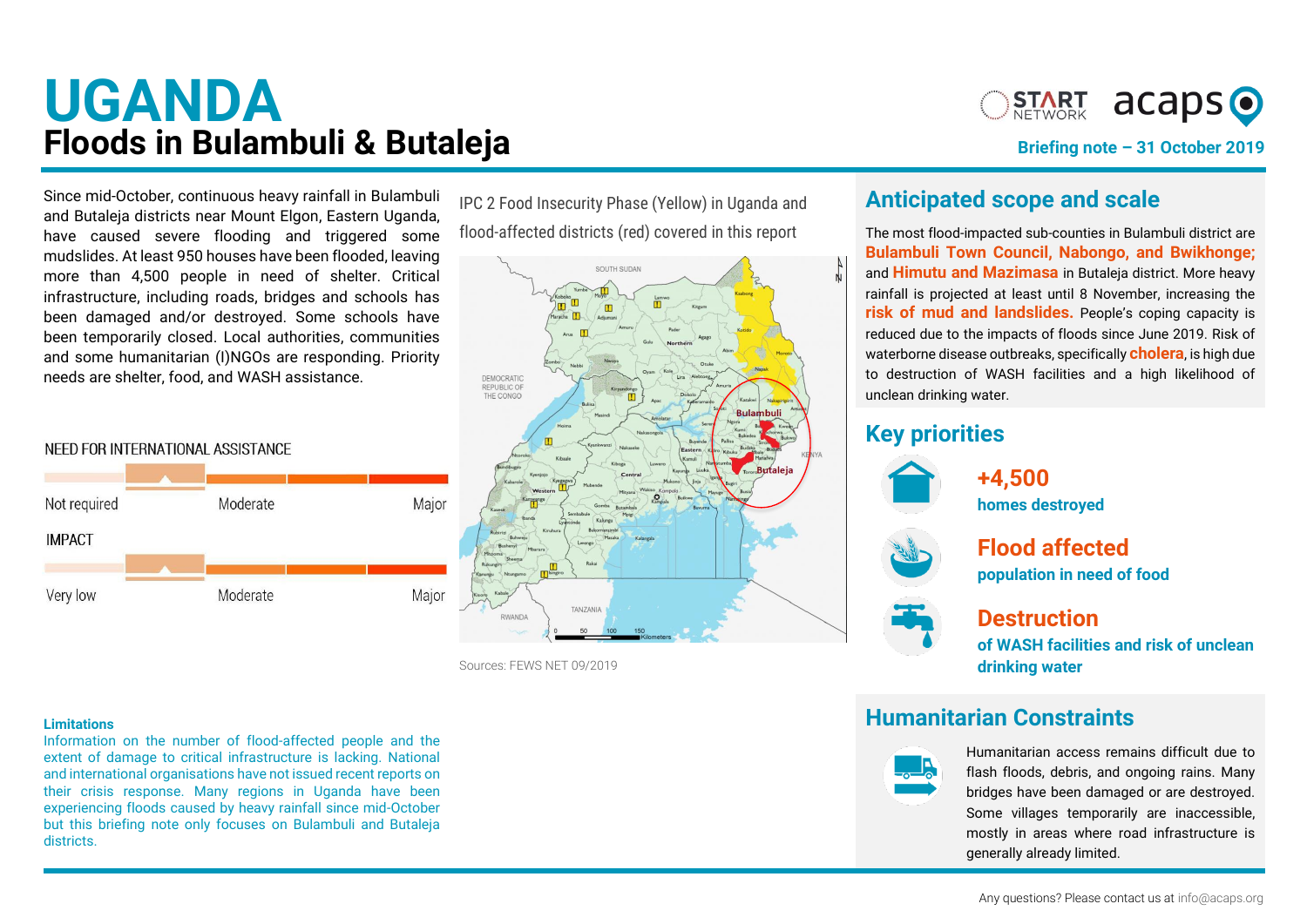# **UGANDA Floods in Bulambuli & Butaleja**



**Briefing note – 31 October 2019**

**districts** Since mid-October, continuous heavy rainfall in Bulambuli and Butaleja districts near Mount Elgon, Eastern Uganda, have caused severe flooding and triggered some mudslides. At least 950 houses have been flooded, leaving more than 4,500 people in need of shelter. Critical infrastructure, including roads, bridges and schools has been damaged and/or destroyed. Some schools have been temporarily closed. Local authorities, communities and some humanitarian (I)NGOs are responding. Priority needs are shelter, food, and WASH assistance.

#### NEED FOR INTERNATIONAL ASSISTANCE



IPC 2 Food Insecurity Phase (Yellow) in Uganda and flood-affected districts (red) covered in this report



Sources: [FEWS NET 09/2019](https://fews.net/east-africa/uganda/food-security-outlook/june-2019)

#### **Limitations**

Information on the number of flood-affected people and the extent of damage to critical infrastructure is lacking. National and international organisations have not issued recent reports on their crisis response. Many regions in Uganda have been experiencing floods caused by heavy rainfall since mid-October but this briefing note only focuses on Bulambuli and Butaleja districts.

### **Anticipated scope and scale**

The most flood-impacted sub-counties in Bulambuli district are **Bulambuli Town Council, Nabongo, and Bwikhonge;**  and **Himutu and Mazimasa** in Butaleja district. More heavy rainfall is projected at least until 8 November, increasing the **risk of mud and landslides.** People's coping capacity is reduced due to the impacts of floods since June 2019. Risk of waterborne disease outbreaks, specifically **cholera**, is high due to destruction of WASH facilities and a high likelihood of unclean drinking water.

## **Key priorities**



**+4,500 homes destroyed**

**Flood affected**

# **population in need of food**



#### **Destruction**

**of WASH facilities and risk of unclean drinking water**

## **Humanitarian Constraints**



Humanitarian access remains difficult due to flash floods, debris, and ongoing rains. Many bridges have been damaged or are destroyed. Some villages temporarily are inaccessible, mostly in areas where road infrastructure is generally already limited.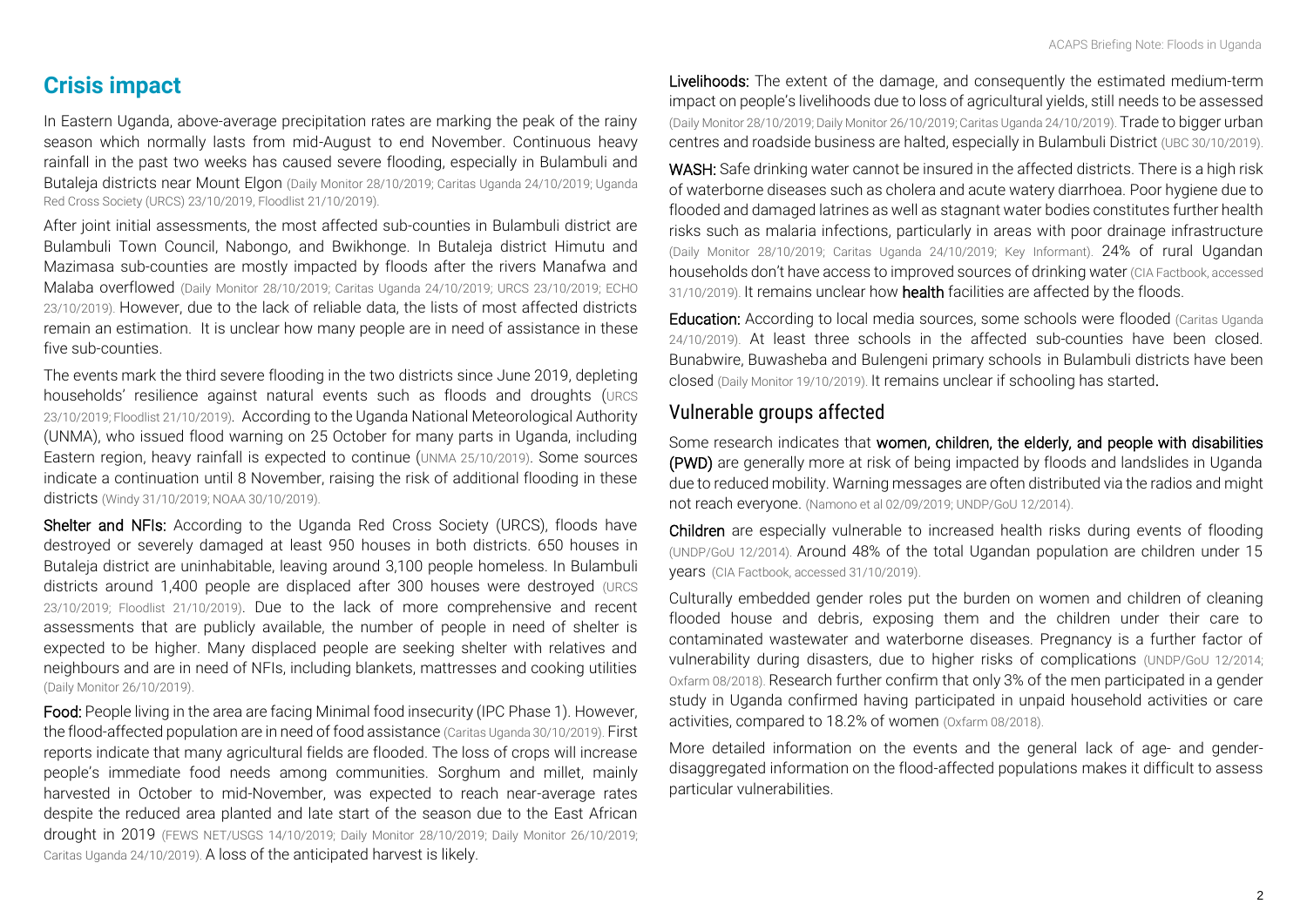## **Crisis impact**

In Eastern Uganda, above-average precipitation rates are marking the peak of the rainy season which normally lasts from mid-August to end November. Continuous heavy rainfall in the past two weeks has caused severe flooding, especially in Bulambuli and Butaleja districts near Mount Elgon (Daily Monitor 28/10/2019[; Caritas Uganda 24/10/2019;](https://twitter.com/CRSUganda/status/1187374443196235776) [Uganda](https://twitter.com/inakasiita1/status/1187079321019662338)  [Red Cross Society \(URCS\) 23/10/2019,](https://twitter.com/inakasiita1/status/1187079321019662338) [Floodlist 21/10/2019\)](http://floodlist.com/africa/uganda-floods-eastern-western-region-october-2019).

After joint initial assessments, the most affected sub-counties in Bulambuli district are Bulambuli Town Council, Nabongo, and Bwikhonge. In Butaleja district Himutu and Mazimasa sub-counties are mostly impacted by floods after the rivers Manafwa and Malaba overflowed (Daily Monitor 28/10/2019; [Caritas Uganda 24/10/2019;](https://twitter.com/CRSUganda/status/1187374443196235776) [URCS 23/10/2019;](https://twitter.com/inakasiita1/status/1187079321019662338) [ECHO](https://reliefweb.int/report/chad/central-africa-floods-noaa-unhcr-floodlist-media-echo-daily-flash-23-october-2019)  [23/10/2019\)](https://reliefweb.int/report/chad/central-africa-floods-noaa-unhcr-floodlist-media-echo-daily-flash-23-october-2019). However, due to the lack of reliable data, the lists of most affected districts remain an estimation. It is unclear how many people are in need of assistance in these five sub-counties.

The events mark the third severe flooding in the two districts since June 2019, depleting households' resilience against natural events such as floods and droughts ([URCS](https://twitter.com/inakasiita1/status/1187079321019662338)  [23/10/2019;](https://twitter.com/inakasiita1/status/1187079321019662338) [Floodlist 21/10/2019\)](http://floodlist.com/africa/uganda-floods-eastern-western-region-october-2019). According to the Uganda National Meteorological Authority (UNMA), who issued flood warning on 25 October for many parts in Uganda, including Eastern region, heavy rainfall is expected to continue (UNMA 25/10/2019). Some sources indicate a continuation until 8 November, raising the risk of additional flooding in these districts [\(Windy 31/10/2019;](https://twitter.com/Mozeserugo/status/1188042783518527488/photo/2) [NOAA 30/10/2019\).](https://twitter.com/Mozeserugo/status/1188042783518527488/photo/2)

Shelter and NFIs: According to the Uganda Red Cross Society (URCS), floods have destroyed or severely damaged at least 950 houses in both districts. 650 houses in Butaleja district are uninhabitable, leaving around 3,100 people homeless. In Bulambuli districts around 1,400 people are displaced after 300 houses were destroyed [\(URCS](http://floodlist.com/africa/uganda-floods-eastern-western-region-october-2019)  [23/10/2019;](http://floodlist.com/africa/uganda-floods-eastern-western-region-october-2019) Floodlist 21/10/2019). Due to the lack of more comprehensive and recent assessments that are publicly available, the number of people in need of shelter is expected to be higher. Many displaced people are seeking shelter with relatives and neighbours and are in need of NFIs, including blankets, mattresses and cooking utilities [\(Daily Monitor 26/10/2019\).](https://www.monitor.co.ug/News/National/Famine-looms-floods-ravage-gardens-eastern-region/688334-5326120-gpv3u0/index.html)

Food: People living in the area are facing Minimal food insecurity (IPC Phase 1). However, the flood-affected population are in need of food assistance [\(Caritas Uganda 30/10/2019\).](https://twitter.com/CRSUganda/status/1189801460692852736) First reports indicate that many agricultural fields are flooded. The loss of crops will increase people's immediate food needs among communities. Sorghum and millet, mainly harvested in October to mid-November, was expected to reach near-average rates despite the reduced area planted and late start of the season due to the East African drought in 2019 [\(FEWS NET/USGS 14/10/2019;](https://reliefweb.int/sites/reliefweb.int/files/resources/EA_Seasonal_Monitor_2019_10_14.pdf) Daily Monitor 28/10/2019; [Daily Monitor 26/10/2019;](https://www.monitor.co.ug/News/National/Famine-looms-floods-ravage-gardens-eastern-region/688334-5326120-gpv3u0/index.html)  [Caritas Uganda 24/10/2019\)](https://twitter.com/CRSUganda/status/1187356269142827010). A loss of the anticipated harvest is likely.

Livelihoods: The extent of the damage, and consequently the estimated medium-term impact on people's livelihoods due to loss of agricultural yields, still needs to be assessed (Daily Monitor 28/10/2019[; Daily Monitor 26/10/2019;](https://www.monitor.co.ug/News/National/Famine-looms-floods-ravage-gardens-eastern-region/688334-5326120-gpv3u0/index.html) [Caritas Uganda 24/10/2019\)](https://twitter.com/CRSUganda/status/1187356269142827010). Trade to bigger urban centres and roadside business are halted, especially in Bulambuli District [\(UBC 30/10/2019\).](https://twitter.com/ubctvuganda/status/1189463756633448448)

WASH: Safe drinking water cannot be insured in the affected districts. There is a high risk of waterborne diseases such as cholera and acute watery diarrhoea. Poor hygiene due to flooded and damaged latrines as well as stagnant water bodies constitutes further health risks such as malaria infections, particularly in areas with poor drainage infrastructure (Daily Monitor 28/10/2019; [Caritas Uganda 24/10/2019;](https://twitter.com/CRSUganda/status/1187374443196235776) Key Informant). 24% of rural Ugandan households don't have access to improved sources of drinking water [\(CIA Factbook, accessed](https://www.cia.gov/library/publications/the-world-factbook/geos/ug.html)  [31/10/2019\).](https://www.cia.gov/library/publications/the-world-factbook/geos/ug.html) It remains unclear how health facilities are affected by the floods.

Education: According to local media sources, some schools were flooded (Caritas Uganda [24/10/2019\)](https://twitter.com/CRSUganda/status/1187374443196235776). At least three schools in the affected sub-counties have been closed. Bunabwire, Buwasheba and Bulengeni primary schools in Bulambuli districts have been closed [\(Daily Monitor 19/10/2019\).](https://www.monitor.co.ug/News/National/Floods-leave-hundreds-homeless-eastern-Uganda/688334-5318028-s69kc1z/index.html) It remains unclear if schooling has started.

#### Vulnerable groups affected

Some research indicates that women, children, the elderly, and people with disabilities (PWD) are generally more at risk of being impacted by floods and landslides in Uganda due to reduced mobility. Warning messages are often distributed via the radios and might not reach everyone. [\(Namono et al 02/09/2019;](https://www.researchgate.net/publication/335580577_The_Barriers_to_Landslide_Responses_over_the_Mt_Elgon_in_Bududa_District_Uganda) [UNDP/GoU 12/2014\)](https://www.necoc-opm.go.ug/reports/8.%20Gender%20&%20Vulnerability%20to%20Disasters%20In%20Uganda%20-%20study.pdf).

Children are especially vulnerable to increased health risks during events of flooding [\(UNDP/GoU 12/2014\)](https://www.necoc-opm.go.ug/reports/8.%20Gender%20&%20Vulnerability%20to%20Disasters%20In%20Uganda%20-%20study.pdf). Around 48% of the total Ugandan population are children under 15 years [\(CIA Factbook, accessed 31/10/2019\).](https://www.cia.gov/library/publications/the-world-factbook/geos/ug.html) 

Culturally embedded gender roles put the burden on women and children of cleaning flooded house and debris, exposing them and the children under their care to contaminated wastewater and waterborne diseases. Pregnancy is a further factor of vulnerability during disasters, due to higher risks of complications [\(UNDP/GoU 12/2014;](https://www.necoc-opm.go.ug/reports/8.%20Gender%20&%20Vulnerability%20to%20Disasters%20In%20Uganda%20-%20study.pdf)  Oxfarm 08/2018). Research further confirm that only 3% of the men participated in a gender study in Uganda confirmed having participated in unpaid household activities or care activities, compared to 18.2% of women [\(Oxfarm 08/2018\).](https://oxfamilibrary.openrepository.com/bitstream/handle/10546/620532/rr-gender-roles-care-economy-uganda-130818-en.pdf?sequence=4&isAllowed=y)

More detailed information on the events and the general lack of age- and genderdisaggregated information on the flood-affected populations makes it difficult to assess particular vulnerabilities.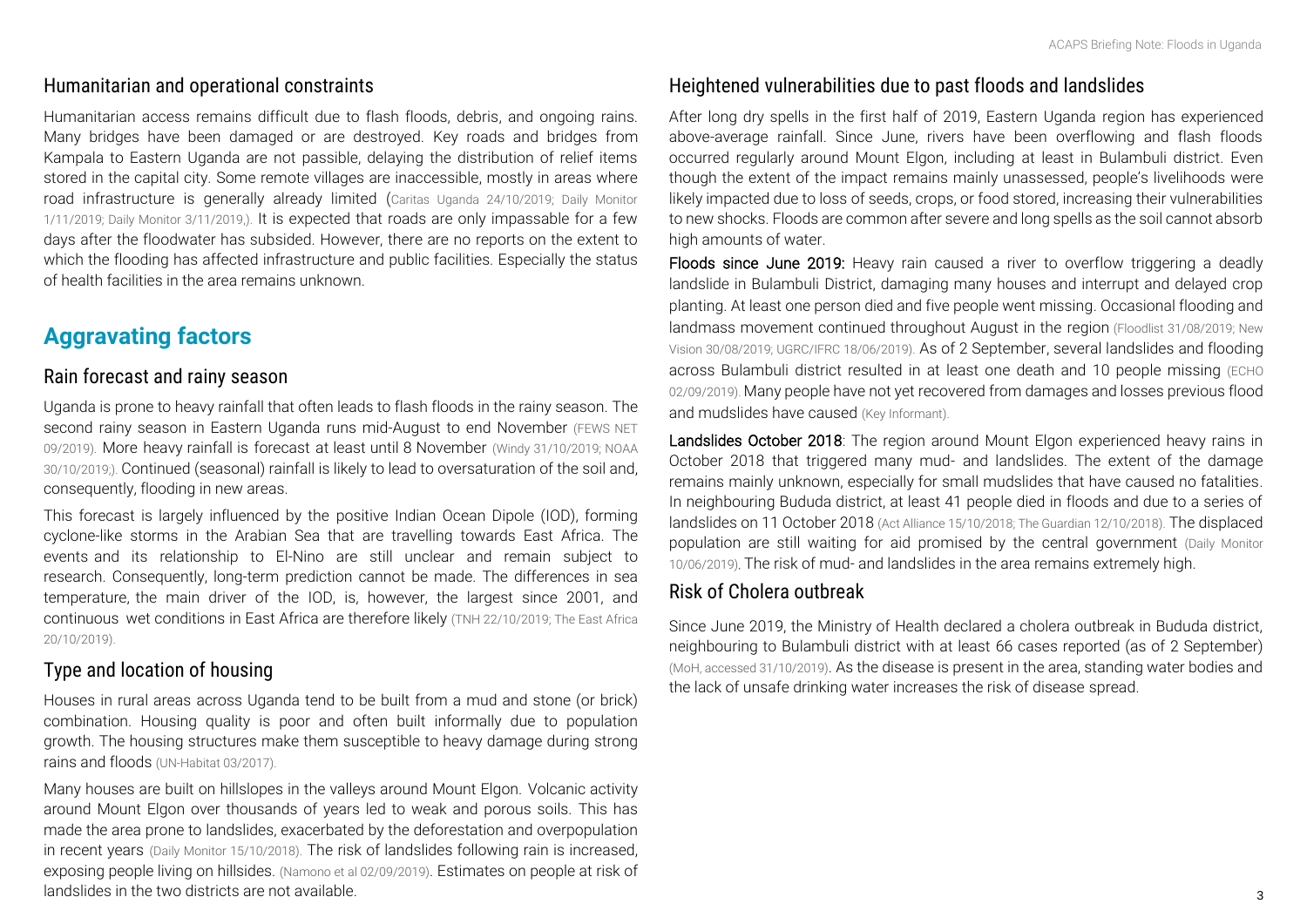#### Humanitarian and operational constraints

Humanitarian access remains difficult due to flash floods, debris, and ongoing rains. Many bridges have been damaged or are destroyed. Key roads and bridges from Kampala to Eastern Uganda are not passible, delaying the distribution of relief items stored in the capital city. Some remote villages are inaccessible, mostly in areas where road infrastructure is generally already limited (Caritas Uganda [24/10/2019;](https://twitter.com/CRSUganda/status/1187374443196235776) Daily [Monitor](https://www.monitor.co.ug/News/National/Residents-stranded-Kaliro-Pallisa-bridge-floods/688334-5333744-ex507o/index.html)  [1/11/2019;](https://www.monitor.co.ug/News/National/Residents-stranded-Kaliro-Pallisa-bridge-floods/688334-5333744-ex507o/index.html) [Daily Monitor 3/11/2019,\).](https://www.monitor.co.ug/News/National/Primary-Seven-candidates-relocated-floods-Kolir/688334-5334880-aw3e60z/index.html) It is expected that roads are only impassable for a few days after the floodwater has subsided. However, there are no reports on the extent to which the flooding has affected infrastructure and public facilities. Especially the status of health facilities in the area remains unknown.

## **Aggravating factors**

#### Rain forecast and rainy season

Uganda is prone to heavy rainfall that often leads to flash floods in the rainy s[eason.](http://fews.net/east-africa/uganda) The [second r](http://fews.net/east-africa/uganda)ainy season in Eastern Uganda runs mid-August to en[d November](https://twitter.com/Mozeserugo/status/1188042783518527488/photo/2) (FEWS NET [09/2019\).](https://twitter.com/Mozeserugo/status/1188042783518527488/photo/2) More heavy rainfall is forecast at least until 8 November [\(Windy 31/10/2019;](https://twitter.com/Mozeserugo/status/1188042783518527488/photo/2) NOAA 30/10/2019;). Continued (seasonal) rainfall is likely to lead to oversaturation of the soil and, consequently, flooding in new areas.

This forecast is largely influenced by the positive Indian Ocean Dipole (IOD), forming cyclone-like storms in the Arabian Sea that are travelling towards East Africa. The events and its relationship to El-Nino are still unclear and remain subject to research. Consequently, long-term prediction cannot be made. The differences in sea temperature, the main driver of the IOD, is, however, [the largest since 2001,](https://www.theeastafrican.co.ke/news/ea/Weathermen--warn-of-heavy-destructive-rains/4552908-5317824-pku9ecz/index.html) and continuous wet conditions in East Africa are therefore likely [\(TNH 22/10/2019;](https://www.thenewhumanitarian.org/news/2019/10/22/Indian-Ocean-Dipole-flood-danger-East-Africa) The East Africa 20/10/2019).

## Type and location of housing

Houses in rural areas across Uganda tend to be built from a mud and stone (or brick) combi[nation. Housing q](http://www.iut.nu/wp-content/uploads/2017/03/Uganda-housing-Profile.pdf)uality is poor and often built informally due to population growth. The housing structures make them susceptible to heavy damage during strong rains and floods (UN-Habitat 03/2017).

Many houses are built on hillslopes in the valleys around Mount Elgon. Volcanic activity around Mount Elgon over thousands of years led to weak and porous soils. This has made the area prone to landslides, exacerbated by the deforestation and overpopulation in recent years [\(Daily Monitor 15/10/2018\).](https://www.monitor.co.ug/video/3286562-4806236-c8hmt2/index.html) The risk of landslides following rain is increased, exposing people living on hillsides. [\(Namono et al 02/09/2019\)](https://www.preprints.org/manuscript/201909.0022/v1). Estimates on people at risk of landslides in the two districts are not available.

## Heightened vulnerabilities due to past floods and landslides

After long dry spells in the first half of 2019, Eastern Uganda region has experienced above-average rainfall. Since June, rivers have been overflowing and flash floods occurred regularly around Mount Elgon, including at least in Bulambuli district. Even though the extent of the impact remains mainly unassessed, people's livelihoods were likely impacted due to loss of seeds, crops, or food stored, increasing their vulnerabilities to new shocks. Floods are common after severe and long spells as the soil cannot absorb high amounts of water.

Floods since June 2019: Heavy rain caused a river to overflow triggering a deadly landslide in Bulambuli District, damaging many houses and interrupt and delayed crop planting. At least one person died and five people went missing. Occasional flooding and landmass movement continued throughout August in the region [\(Floodlist 31/08/2019;](http://floodlist.com/africa/uganda-floods-landslides-bulambuli-eastern-region-august-2019) [New](https://www.newvision.co.ug/new_vision/news/1506405/feared-dead-bulambuli-landslides)  [Vision 30/08/2019;](https://www.newvision.co.ug/new_vision/news/1506405/feared-dead-bulambuli-landslides) [UGRC/IFRC 18/06/2019\)](https://reliefweb.int/sites/reliefweb.int/files/resources/Map_Uganda_Floods%20and%20Landslides_DREF%20EPoA.24.06.pdf). As of 2 September, several landslides and flooding across Bulambuli district resulted in at least one death and 10 people missing [\(ECHO](https://reliefweb.int/report/uganda/uganda-severe-weather-noaa-cpc-floodlist-uganda-red-cross-society-media-echo-daily)  [02/09/2019\).](https://reliefweb.int/report/uganda/uganda-severe-weather-noaa-cpc-floodlist-uganda-red-cross-society-media-echo-daily) Many people have not yet recovered from damages and losses previous flood and mudslides have caused (Key Informant).

Landslides October 2018: The region around Mount Elgon experienced heavy rains in October 2018 that triggered many mud- and landslides. The extent of the damage remains mainly unknown, especially for small mudslides that have caused no fatalities. In neighbouring Bududa district, at least 41 people died in floods and due to a series of landslides on 11 October 2018 [\(Act Alliance 15/10/2018;](https://reliefweb.int/sites/reliefweb.int/files/resources/Alerts_Uganda_Landslide.pdf) [The Guardian 12/10/2018](https://www.theguardian.com/global-development/2018/oct/12/uganda-landslides-36-dead-school-disappears-beneath-mud-bududa)). The displaced population are still waiting for aid promised by the central government [\(Daily Monitor](https://www.monitor.co.ug/News/National/Government-landslide-victims-Ecweru-Mt-Elgon/688334-5150982-k9iedvz/index.html)  [10/06/2019\).](https://www.monitor.co.ug/News/National/Government-landslide-victims-Ecweru-Mt-Elgon/688334-5150982-k9iedvz/index.html) The risk of mud- and landslides in the area remains extremely high.

#### Risk of Cholera outbreak

Since June 2019, the Ministry of Health declared a cholera outbreak in Bududa district, neighbouring to Bulambuli district with at least 66 cases reported (as of 2 September) [\(MoH, accessed 31/10/2019\)](https://health.go.ug/publications). As the disease is present in the area, standing water bodies and the lack of unsafe drinking water increases the risk of disease spread.